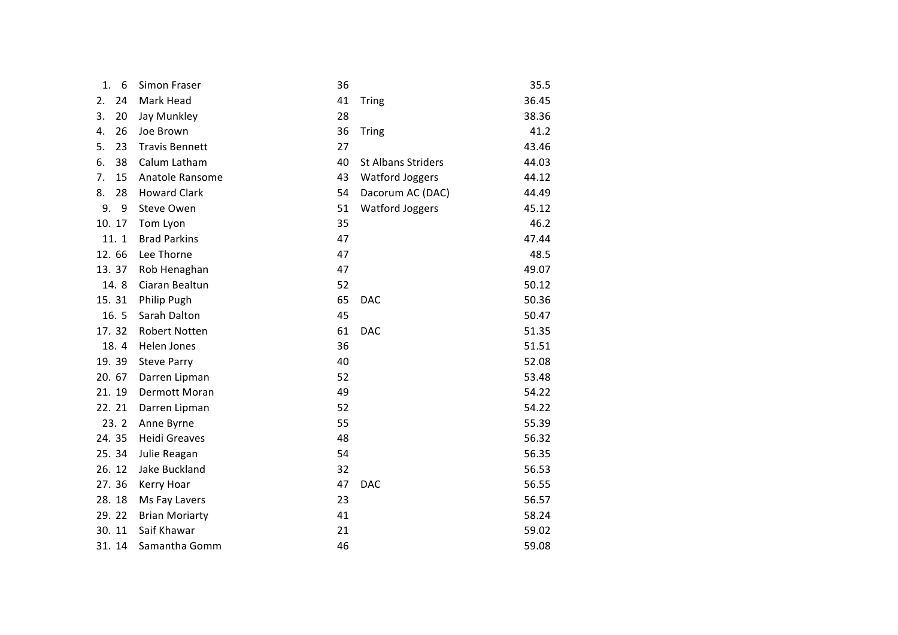| 1.<br>6  | Simon Fraser          | 36 |                           | 35.5  |
|----------|-----------------------|----|---------------------------|-------|
| 24<br>2. | Mark Head             | 41 | <b>Tring</b>              | 36.45 |
| 3.<br>20 | Jay Munkley           | 28 |                           | 38.36 |
| 26<br>4. | Joe Brown             | 36 | <b>Tring</b>              | 41.2  |
| 5.<br>23 | <b>Travis Bennett</b> | 27 |                           | 43.46 |
| 38<br>6. | Calum Latham          | 40 | <b>St Albans Striders</b> | 44.03 |
| 7.<br>15 | Anatole Ransome       | 43 | <b>Watford Joggers</b>    | 44.12 |
| 8.<br>28 | <b>Howard Clark</b>   | 54 | Dacorum AC (DAC)          | 44.49 |
| 9.<br>9  | Steve Owen            | 51 | <b>Watford Joggers</b>    | 45.12 |
| 10.17    | Tom Lyon              | 35 |                           | 46.2  |
| 11.1     | <b>Brad Parkins</b>   | 47 |                           | 47.44 |
| 12.66    | Lee Thorne            | 47 |                           | 48.5  |
| 13.37    | Rob Henaghan          | 47 |                           | 49.07 |
| 14.8     | Ciaran Bealtun        | 52 |                           | 50.12 |
| 15.31    | Philip Pugh           | 65 | <b>DAC</b>                | 50.36 |
| 16.5     | Sarah Dalton          | 45 |                           | 50.47 |
| 17.32    | Robert Notten         | 61 | <b>DAC</b>                | 51.35 |
| 18.4     | Helen Jones           | 36 |                           | 51.51 |
| 19.39    | <b>Steve Parry</b>    | 40 |                           | 52.08 |
| 20.67    | Darren Lipman         | 52 |                           | 53.48 |
| 21.19    | Dermott Moran         | 49 |                           | 54.22 |
| 22.21    | Darren Lipman         | 52 |                           | 54.22 |
| 23.2     | Anne Byrne            | 55 |                           | 55.39 |
| 24.35    | <b>Heidi Greaves</b>  | 48 |                           | 56.32 |
| 25.34    | Julie Reagan          | 54 |                           | 56.35 |
| 26.12    | Jake Buckland         | 32 |                           | 56.53 |
| 27.36    | Kerry Hoar            | 47 | <b>DAC</b>                | 56.55 |
| 28.18    | Ms Fay Lavers         | 23 |                           | 56.57 |
| 29.22    | <b>Brian Moriarty</b> | 41 |                           | 58.24 |
| 30.11    | Saif Khawar           | 21 |                           | 59.02 |
| 31.14    | Samantha Gomm         | 46 |                           | 59.08 |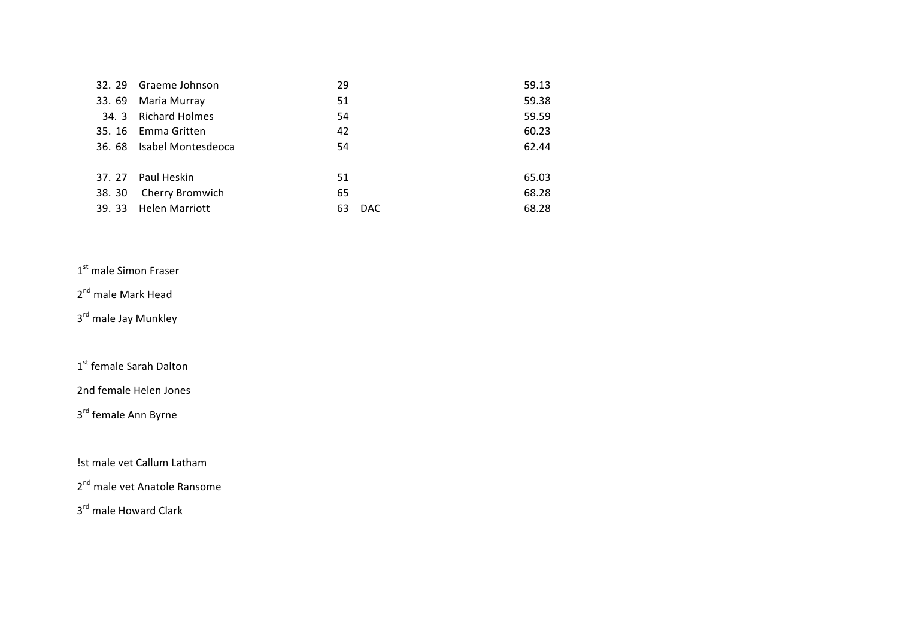| 32.29 | Graeme Johnson            | 29         | 59.13 |
|-------|---------------------------|------------|-------|
| 33.69 | Maria Murray              | 51         | 59.38 |
|       | 34. 3 Richard Holmes      | 54         | 59.59 |
| 35.16 | Emma Gritten              | 42         | 60.23 |
|       | 36. 68 Isabel Montesdeoca | 54         | 62.44 |
|       |                           |            |       |
|       | 37. 27 Paul Heskin        | 51         | 65.03 |
| 38.30 | Cherry Bromwich           | 65         | 68.28 |
| 39.33 | <b>Helen Marriott</b>     | DAC.<br>63 | 68.28 |

## 1<sup>st</sup> male Simon Fraser

## 2<sup>nd</sup> male Mark Head

3<sup>rd</sup> male Jay Munkley

1st female Sarah Dalton

2nd female Helen Jones

3<sup>rd</sup> female Ann Byrne

!st male vet Callum Latham

2<sup>nd</sup> male vet Anatole Ransome

3<sup>rd</sup> male Howard Clark